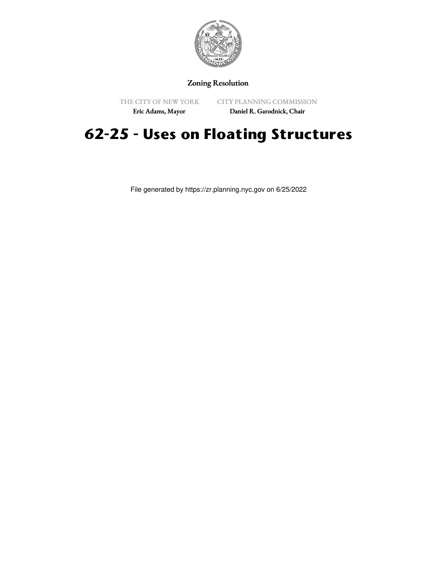

## Zoning Resolution

THE CITY OF NEW YORK Eric Adams, Mayor

CITY PLANNING COMMISSION

Daniel R. Garodnick, Chair

## **62-25 - Uses on Floating Structures**

File generated by https://zr.planning.nyc.gov on 6/25/2022